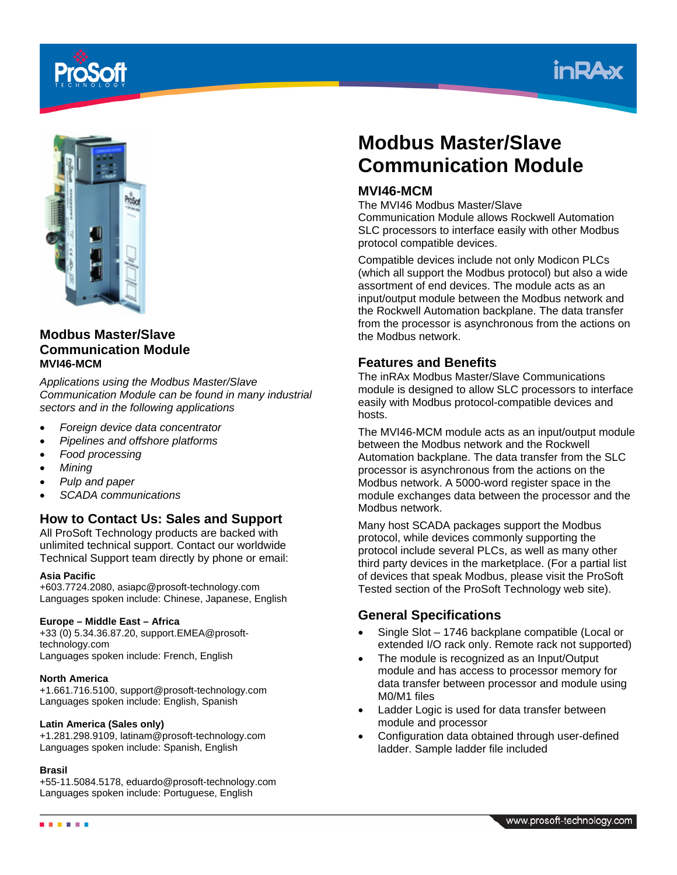





# **Modbus Master/Slave Communication Module MVI46-MCM**

*Applications using the Modbus Master/Slave Communication Module can be found in many industrial sectors and in the following applications* 

- *Foreign device data concentrator*
- *Pipelines and offshore platforms*
- *Food processing*
- *Mining*
- *Pulp and paper*
- *SCADA communications*

# **How to Contact Us: Sales and Support**

All ProSoft Technology products are backed with unlimited technical support. Contact our worldwide Technical Support team directly by phone or email:

#### **Asia Pacific**

+603.7724.2080, asiapc@prosoft-technology.com Languages spoken include: Chinese, Japanese, English

#### **Europe – Middle East – Africa**

+33 (0) 5.34.36.87.20, support.EMEA@prosofttechnology.com Languages spoken include: French, English

#### **North America**

+1.661.716.5100, support@prosoft-technology.com Languages spoken include: English, Spanish

#### **Latin America (Sales only)**

+1.281.298.9109, latinam@prosoft-technology.com Languages spoken include: Spanish, English

#### **Brasil**

. . . . . .

+55-11.5084.5178, eduardo@prosoft-technology.com Languages spoken include: Portuguese, English

# **Modbus Master/Slave Communication Module**

## **MVI46-MCM**

The MVI46 Modbus Master/Slave Communication Module allows Rockwell Automation SLC processors to interface easily with other Modbus protocol compatible devices.

Compatible devices include not only Modicon PLCs (which all support the Modbus protocol) but also a wide assortment of end devices. The module acts as an input/output module between the Modbus network and the Rockwell Automation backplane. The data transfer from the processor is asynchronous from the actions on the Modbus network.

## **Features and Benefits**

The inRAx Modbus Master/Slave Communications module is designed to allow SLC processors to interface easily with Modbus protocol-compatible devices and hosts.

The MVI46-MCM module acts as an input/output module between the Modbus network and the Rockwell Automation backplane. The data transfer from the SLC processor is asynchronous from the actions on the Modbus network. A 5000-word register space in the module exchanges data between the processor and the Modbus network.

Many host SCADA packages support the Modbus protocol, while devices commonly supporting the protocol include several PLCs, as well as many other third party devices in the marketplace. (For a partial list of devices that speak Modbus, please visit the ProSoft Tested section of the ProSoft Technology web site).

## **General Specifications**

- Single Slot 1746 backplane compatible (Local or extended I/O rack only. Remote rack not supported)
- The module is recognized as an Input/Output module and has access to processor memory for data transfer between processor and module using M0/M1 files
- Ladder Logic is used for data transfer between module and processor
- Configuration data obtained through user-defined ladder. Sample ladder file included